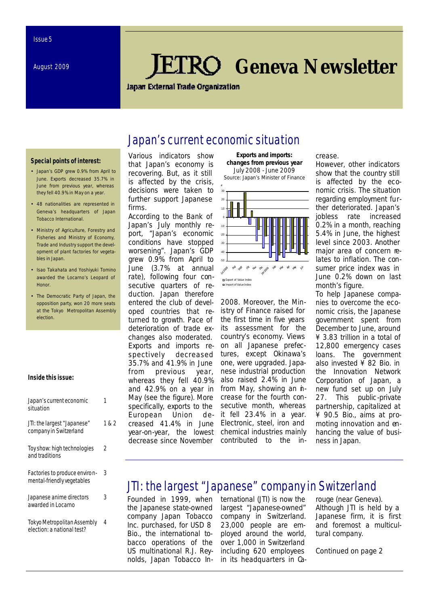# *Geneva Newsletter*

#### **Japan External Trade Organization**

### Japan's current economic situation

#### **Special points of interest:**

- Japan's GDP grew 0.9% from April to June. Exports decreased 35.7% in June from previous year, whereas they fell 40.9% in May on a year.
- 48 nationalities are represented in Geneva's headquarters of Japan Tobacco International.
- Ministry of Agriculture, Forestry and Fisheries and Ministry of Economy, Trade and Industry support the development of plant factories for vegetables in Japan.
- Isao Takahata and Yoshiyuki Tomino awarded the Locarno's Leopard of **Honor**
- The Democratic Party of Japan, the opposition party, won 20 more seats at the Tokyo Metropolitan Assembly election.

#### **Inside this issue:**

| Japan's current economic<br>situation                       |       |
|-------------------------------------------------------------|-------|
| JTI: the largest "Japanese"<br>company in Switzerland       | 1 & 2 |
| Toy show: high technologies<br>and traditions               | 2     |
| Factories to produce environ-<br>mental-friendly vegetables | 3     |
| Japanese anime directors<br>awarded in Locarno              | 3     |
| Tokyo Metropolitan Assembly<br>election: a national test?   | 4     |

Various indicators show that Japan's economy is recovering. But, as it still is affected by the crisis, decisions were taken to further support Japanese firms.

According to the Bank of Japan's July monthly report, "Japan's economic conditions have stopped worsening". Japan's GDP grew 0.9% from April to June (3.7% at annual rate), following four consecutive quarters of reduction. Japan therefore entered the club of developed countries that returned to growth. Pace of deterioration of trade exchanges also moderated. Exports and imports respectively decreased 35.7% and 41.9% in June from previous year, whereas they fell 40.9% and 42.9% on a year in May (see the figure). More specifically, exports to the European Union decreased 41.4% in June year-on-year, the lowest decrease since November

**Exports and imports: changes from previous year** July 2008 - June 2009 Source: Japan's Minister of Finance



2008. Moreover, the Ministry of Finance raised for the first time in five years its assessment for the country's economy. Views on all Japanese prefectures, except Okinawa's one, were upgraded. Japanese industrial production also raised 2.4% in June from May, showing an *h*crease for the fourth consecutive month, whereas it fell 23.4% in a year. Electronic, steel, iron and chemical industries mainly contributed to the in-

#### crease.

However, other indicators show that the country still is affected by the economic crisis. The situation regarding employment further deteriorated. Japan's jobless rate increased 0.2% in a month, reaching 5.4% in June, the highest level since 2003. Another major area of concern relates to inflation. The consumer price index was in June 0.2% down on last month's figure.

To help Japanese companies to overcome the economic crisis, the Japanese government spent from December to June, around ¥ 3.83 trillion in a total of 12,800 emergency cases loans. The government also invested ¥ 82 Bio. in the Innovation Network Corporation of Japan, a new fund set up on July 27. This public -private partnership, capitalized at ¥ 90.5 Bio., aims at promoting innovation and enhancing the value of business in Japan.

### JTI: the largest "Japanese" company in Switzerland

Founded in 1999, when the Japanese state-owned company Japan Tobacco Inc. purchased, for USD 8 Bio., the international tobacco operations of the US multinational R.J. Reynolds, Japan Tobacco International (JTI) is now the largest "Japanese-owned" company in Switzerland. 23,000 people are employed around the world, over 1,000 in Switzerland including 620 employees in its headquarters in Ca-

rouge (near Geneva). Although JTI is held by a Japanese firm, it is first and foremost a multicultural company.

*Continued on page 2*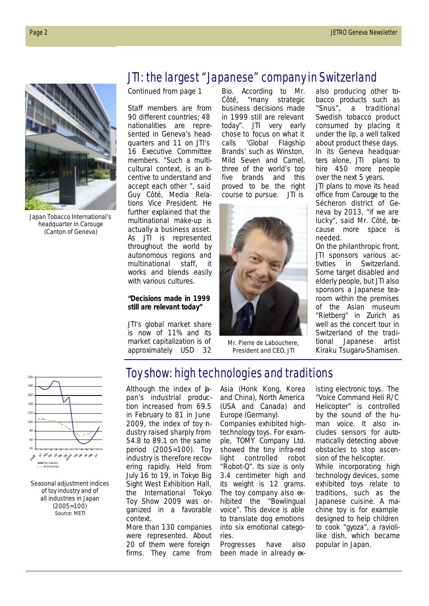

Japan Tobacco International's headquarter in Carouge (Canton of Geneva)

# JTI: the largest "Japanese" company in Switzerland

*Continued from page 1*

Staff members are from 90 different countries; 48 nationalities are represented in Geneva's headquarters and 11 on JTI's 16 Executive Committee members. "Such a multicultural context, is an *h*centive to understand and accept each other ", said Guy Côté, Media Relations Vice President. He further explained that the multinational make-up is actually a business asset. As JTI is represented throughout the world by autonomous regions and multinational staff, it works and blends easily with various cultures.

#### *"Decisions made in 1999 still are relevant today"*

JTI's global market share is now of 11% and its market capitalization is of approximately USD 32

Bio. According to Mr. Côté, "many strategic business decisions made in 1999 still are relevant today". JTI very early chose to focus on what it calls 'Global Flagship Brands' such as Winston, Mild Seven and Camel, three of the world's top five brands and this proved to be the right course to pursue. JTI is



Mr. Pierre de Labouchere, President and CEO, JTI

also producing other tobacco products such as "Snus", a traditional Swedish tobacco product consumed by placing it under the lip, a well talked about product these days. In its Geneva headquarters alone, JTI plans to hire 450 more people over the next 5 years. JTI plans to move its head office from Carouge to the Sécheron district of Geneva by 2013, "if we are lucky", said Mr. Côté, because more space is needed.

On the philanthropic front, JTI sponsors various activities in Switzerland. Some target disabled and elderly people, but JTI also sponsors a Japanese tearoom within the premises of the Asian museum "Rietberg" in Zurich as well as the concert tour in Switzerland of the traditional Japanese artist Kiraku Tsugaru-Shamisen.



Seasonal adjustment indices of toy industry and of all industries in Japan (2005=100) Source: METI

## Toy show: high technologies and traditions

Although the index of  $\hbox{\AA}$ pan's industrial production increased from 69.5 in February to 81 in June 2009, the index of toy industry raised sharply from 54.8 to 89.1 on the same period (2005=100). Toy industry is therefore recovering rapidly. Held from July 16 to 19, in Tokyo Big Sight West Exhibition Hall, the International Tokyo Toy Show 2009 was organized in a favorable context.

More than 130 companies were represented. About 20 of them were foreign firms. They came from Asia (Honk Kong, Korea and China), North America (USA and Canada) and Europe (Germany).

Companies exhibited hightechnology toys. For example, TOMY Company Ltd. showed the tiny infra-red light controlled robot "Robot-Q". Its size is only 3.4 centimeter high and its weight is 12 grams. The toy company also exhibited the "Bowlingual voice". This device is able to translate dog emotions into six emotional categories.

Progresses have also been made in already existing electronic toys. The "Voice Command Heli R/C Helicopter" is controlled by the sound of the human voice. It also includes sensors for automatically detecting above obstacles to stop ascension of the helicopter. While incorporating high technology devices, some exhibited toys relate to traditions, such as the Japanese cuisine. A machine toy is for example designed to help children to cook "gyoza", a raviolilike dish, which became popular in Japan.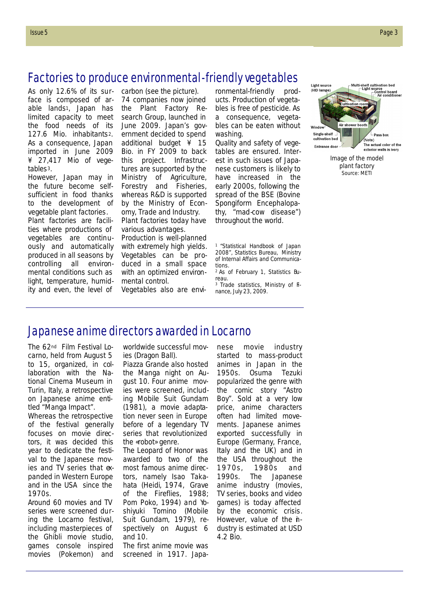## Factories to produce environmental-friendly vegetables

As only 12.6% of its surface is composed of arable lands1, Japan has limited capacity to meet the food needs of its 127.6 Mio. inhabitants2. As a consequence, Japan imported in June 2009 ¥ 27,417 Mio of vegetables3.

However, Japan may in the future become selfsufficient in food thanks to the development of vegetable plant factories. Plant factories are facilities where productions of vegetables are continuously and automatically produced in all seasons by controlling all environmental conditions such as light, temperature, humidity and even, the level of

carbon (see the picture). 74 companies now joined the Plant Factory Research Group, launched in June 2009. Japan's government decided to spend additional budget ¥ 15 Bio. in FY 2009 to back this project. Infrastructures are supported by the Ministry of Agriculture, Forestry and Fisheries, whereas R&D is supported by the Ministry of Economy, Trade and Industry. Plant factories today have

various advantages. Production is well-planned with extremely high yields. Vegetables can be produced in a small space with an optimized environmental control.

Vegetables also are envi-

ronmental-friendly products. Production of vegetables is free of pesticide. As a consequence, vegetables can be eaten without washing.

Quality and safety of vegetables are ensured. Interest in such issues of Japanese customers is likely to have increased in the early 2000s, following the spread of the BSE (Bovine Spongiform Encephalopathy, "mad-cow disease") throughout the world.

<sup>1</sup>"Statistical Handbook of Japan 2008", Statistics Bureau, Ministry of Internal Affairs and Communications.

<sup>3</sup> Trade statistics, Ministry of Finance, July 23, 2009.



Image of the model plant factory Source: METI

### Japanese anime directors awarded in Locarno

The 62nd Film Festival Locarno, held from August 5 to 15, organized, in collaboration with the National Cinema Museum in Turin, Italy, a retrospective on Japanese anime entitled "Manga Impact".

Whereas the retrospective of the festival generally focuses on movie directors, it was decided this year to dedicate the festival to the Japanese movies and TV series that  $\alpha$ panded in Western Europe and in the USA since the 1970s.

Around 60 movies and TV series were screened during the Locarno festival, including masterpieces of the Ghibli movie studio, games console inspired movies (Pokemon) and worldwide successful movies (Dragon Ball).

Piazza Grande also hosted the Manga night on August 10. Four anime movies were screened, including *Mobile Suit Gundam*  (1981), a movie adaptation never seen in Europe before of a legendary TV series that revolutionized the «robot» genre.

The Leopard of Honor was awarded to two of the most famous anime directors, namely Isao Takahata (*Heidi*, 1974, *Grave of the Fireflies, 1988; Pom Poko, 1994)* and Yoshiyuki Tomino (*Mobile Suit Gundam*, 1979), respectively on August 6 and 10.

The first anime movie was screened in 1917. Japa-

nese movie industry started to mass-product animes in Japan in the 1950s. Osuma Tezuki popularized the genre with the comic story "Astro Boy". Sold at a very low price, anime characters often had limited movements. Japanese animes exported successfully in Europe (Germany, France, Italy and the UK) and in the USA throughout the 1970s, 1980s and 1990s. The Japanese anime industry (movies, TV series, books and video games) is today affected by the economic crisis. However, value of the *n*dustry is estimated at USD 4.2 Bio.

<sup>2</sup> As of February 1, Statistics Bureau.